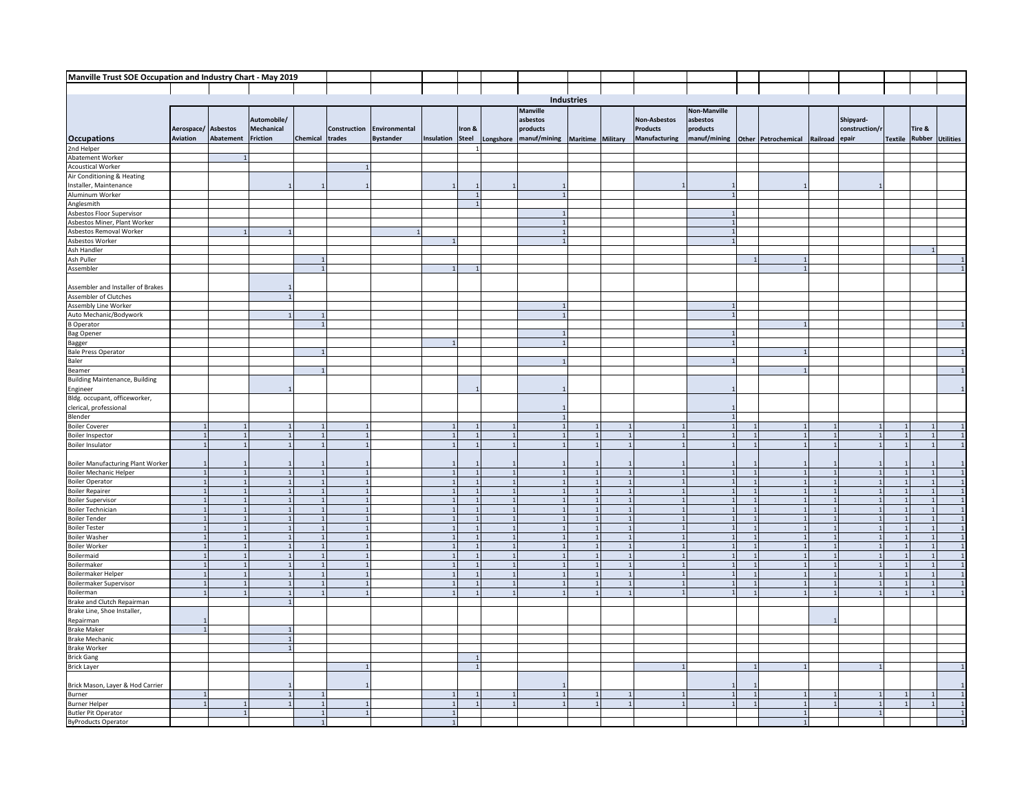| Manville Trust SOE Occupation and Industry Chart - May 2019 |                              |                |                                |          |                              |                  |                                |              |           |                 |                   |                      |              |                |                     |          |                |                |               |                  |
|-------------------------------------------------------------|------------------------------|----------------|--------------------------------|----------|------------------------------|------------------|--------------------------------|--------------|-----------|-----------------|-------------------|----------------------|--------------|----------------|---------------------|----------|----------------|----------------|---------------|------------------|
|                                                             |                              |                |                                |          |                              |                  |                                |              |           |                 |                   |                      |              |                |                     |          |                |                |               |                  |
|                                                             |                              |                |                                |          |                              |                  |                                |              |           |                 | Industries        |                      |              |                |                     |          |                |                |               |                  |
|                                                             |                              |                |                                |          |                              |                  |                                |              |           | <b>Manville</b> |                   |                      | Non-Manville |                |                     |          |                |                |               |                  |
|                                                             |                              |                | Automobile/                    |          |                              |                  |                                |              |           | asbestos        |                   | Non-Asbestos         | asbestos     |                |                     |          | Shipyard-      |                |               |                  |
|                                                             | Aerospace/ Asbestos          |                | Mechanical                     |          | Construction                 | Environmental    |                                | Iron &       |           | products        |                   | <b>Products</b>      | products     |                |                     |          | construction/r |                | Tire &        |                  |
| <b>Occupations</b>                                          | Aviation                     | Abatement      | Friction                       | Chemical | trades                       | <b>Bystander</b> | Insulation                     | <b>Steel</b> | Longshore | manuf/mining    | Maritime Military | <b>Manufacturing</b> | manuf/mining |                | Other Petrochemical | Railroad | epair          | <b>Textile</b> | <b>Rubber</b> | <b>Utilities</b> |
| 2nd Helper                                                  |                              |                |                                |          |                              |                  |                                |              |           |                 |                   |                      |              |                |                     |          |                |                |               |                  |
| Abatement Worker                                            |                              |                |                                |          |                              |                  |                                |              |           |                 |                   |                      |              |                |                     |          |                |                |               |                  |
| <b>Acoustical Worker</b>                                    |                              |                |                                |          |                              |                  |                                |              |           |                 |                   |                      |              |                |                     |          |                |                |               |                  |
| Air Conditioning & Heating                                  |                              |                |                                |          |                              |                  |                                |              |           |                 |                   |                      |              |                |                     |          |                |                |               |                  |
| Installer, Maintenance                                      |                              |                |                                |          |                              |                  |                                |              |           |                 |                   |                      |              |                |                     |          |                |                |               |                  |
| Aluminum Worker<br>Anglesmith                               |                              |                |                                |          |                              |                  |                                |              |           |                 |                   |                      |              |                |                     |          |                |                |               |                  |
| Asbestos Floor Supervisor                                   |                              |                |                                |          |                              |                  |                                |              |           |                 |                   |                      |              |                |                     |          |                |                |               |                  |
|                                                             |                              |                |                                |          |                              |                  |                                |              |           |                 |                   |                      |              |                |                     |          |                |                |               |                  |
| Asbestos Miner, Plant Worker<br>Asbestos Removal Worker     |                              |                |                                |          |                              |                  |                                |              |           |                 |                   |                      |              |                |                     |          |                |                |               |                  |
|                                                             |                              |                |                                |          |                              |                  |                                |              |           |                 |                   |                      |              |                |                     |          |                |                |               |                  |
| Asbestos Worker<br>Ash Handler                              |                              |                |                                |          |                              |                  |                                |              |           |                 |                   |                      |              |                |                     |          |                |                | $\mathbf{1}$  |                  |
| Ash Puller                                                  |                              |                |                                |          |                              |                  |                                |              |           |                 |                   |                      |              |                |                     |          |                |                |               |                  |
| Assembler                                                   |                              |                |                                |          |                              |                  |                                |              |           |                 |                   |                      |              |                |                     |          |                |                |               |                  |
|                                                             |                              |                |                                |          |                              |                  |                                |              |           |                 |                   |                      |              |                |                     |          |                |                |               |                  |
| Assembler and Installer of Brakes<br>Assembler of Clutches  |                              |                |                                |          |                              |                  |                                |              |           |                 |                   |                      |              |                |                     |          |                |                |               |                  |
|                                                             |                              |                |                                |          |                              |                  |                                |              |           |                 |                   |                      |              |                |                     |          |                |                |               |                  |
| Assembly Line Worker<br>Auto Mechanic/Bodywork              |                              |                |                                |          |                              |                  |                                |              |           | $\mathbf{1}$    |                   |                      |              |                |                     |          |                |                |               |                  |
| <b>B</b> Operator                                           |                              |                |                                |          |                              |                  |                                |              |           |                 |                   |                      |              |                |                     |          |                |                |               |                  |
| <b>Bag Opener</b>                                           |                              |                |                                |          |                              |                  |                                |              |           | $\overline{1}$  |                   |                      |              |                |                     |          |                |                |               |                  |
|                                                             |                              |                |                                |          |                              |                  |                                |              |           | $\overline{1}$  |                   |                      |              |                |                     |          |                |                |               |                  |
| Bagger<br>Bale Press Operator                               |                              |                |                                |          |                              |                  |                                |              |           |                 |                   |                      |              |                |                     |          |                |                |               |                  |
| Baler                                                       |                              |                |                                |          |                              |                  |                                |              |           |                 |                   |                      |              |                |                     |          |                |                |               |                  |
| Beamer<br>Building Maintenance, Building                    |                              |                |                                |          |                              |                  |                                |              |           |                 |                   |                      |              |                |                     |          |                |                |               |                  |
|                                                             |                              |                |                                |          |                              |                  |                                |              |           |                 |                   |                      |              |                |                     |          |                |                |               |                  |
| Engineer                                                    |                              |                |                                |          |                              |                  |                                |              |           |                 |                   |                      |              |                |                     |          |                |                |               |                  |
| Bldg. occupant, officeworker,                               |                              |                |                                |          |                              |                  |                                |              |           |                 |                   |                      |              |                |                     |          |                |                |               |                  |
| clerical, professional                                      |                              |                |                                |          |                              |                  |                                |              |           |                 |                   |                      |              |                |                     |          |                |                |               |                  |
| Blender                                                     | $\overline{1}$               |                |                                |          |                              |                  |                                |              |           |                 |                   |                      |              |                |                     |          |                |                |               |                  |
| <b>Boiler Coverer</b><br><b>Boiler Inspector</b>            | $\overline{1}$               |                | $\mathbf{1}$                   |          | $\mathbf{1}$                 |                  | $\mathbf{1}$                   |              |           |                 |                   |                      |              |                |                     |          |                |                | $\mathbf{1}$  | $\overline{1}$   |
| Boiler Insulator                                            | $\mathbf{1}$                 |                |                                |          | $\mathbf{1}$                 |                  |                                |              |           |                 |                   |                      |              |                |                     |          |                |                |               |                  |
|                                                             |                              |                |                                |          |                              |                  |                                |              |           |                 |                   |                      |              |                |                     |          |                |                |               |                  |
| <b>Boiler Manufacturing Plant Worker</b>                    |                              |                |                                |          |                              |                  |                                |              |           |                 |                   |                      |              |                |                     |          |                |                |               |                  |
| <b>Boiler Mechanic Helper</b>                               |                              |                |                                |          |                              |                  |                                |              |           |                 |                   |                      |              |                |                     |          |                |                |               |                  |
| <b>Boiler Operator</b>                                      |                              |                |                                |          |                              |                  | $\mathbf{1}$                   |              |           |                 |                   |                      |              |                |                     |          |                |                |               |                  |
| <b>Boiler Repairer</b>                                      | $\mathbf{1}$                 |                | $\overline{1}$                 |          | $\mathbf{1}$                 |                  | $\mathbf 1$                    |              |           |                 | $\mathbf{1}$      | $\overline{1}$       |              | $\overline{1}$ |                     |          |                |                | $\mathbf{1}$  |                  |
| <b>Boiler Supervisor</b>                                    | $\mathbf{1}$                 |                | $\mathbf{1}$                   |          | $\mathbf{1}$                 |                  | $\mathbf{1}$                   |              |           |                 |                   | $\overline{1}$       |              | $\mathbf{1}$   |                     |          |                |                | $\mathbf{1}$  |                  |
| <b>Boiler Technician</b>                                    | $\overline{1}$               |                | $\mathbf{1}$                   |          | $\mathbf{1}$                 |                  | $\overline{1}$                 |              |           |                 | $\mathbf{1}$      | $\overline{1}$       |              | $\mathbf{1}$   |                     |          | $\mathbf{1}$   |                | $\mathbf{1}$  |                  |
| <b>Boiler Tender</b>                                        | $\mathbf{1}$<br>$\mathbf{1}$ |                | $\mathbf{1}$<br>$\mathbf{1}$   |          | $\mathbf{1}$<br>$\mathbf{1}$ |                  | $\overline{1}$<br>$\mathbf{1}$ |              |           |                 |                   | $\overline{1}$       |              |                |                     |          |                |                | $\mathbf{1}$  |                  |
| <b>Boiler Tester</b><br><b>Boiler Washer</b>                | $\mathbf{1}$                 |                | $\overline{1}$                 |          | $\mathbf{1}$                 |                  | $\mathbf{1}$                   |              |           |                 |                   |                      |              |                |                     |          |                |                | $\mathbf{1}$  |                  |
| <b>Boiler Worker</b>                                        | $\mathbf{1}$                 |                | $\mathbf{1}$                   |          | $\overline{1}$               |                  | $\mathbf{1}$                   |              |           |                 |                   |                      |              |                |                     |          |                |                | $\mathbf{1}$  |                  |
| Boilermaid                                                  | $\overline{1}$               |                |                                |          |                              |                  |                                |              |           |                 |                   |                      |              |                |                     |          |                |                |               |                  |
| Boilermaker                                                 | $\overline{1}$               |                |                                |          |                              |                  |                                |              |           |                 |                   |                      |              |                |                     |          |                |                |               |                  |
| Boilermaker Helper                                          |                              |                |                                |          |                              |                  |                                |              |           |                 |                   |                      |              |                |                     |          |                |                | $\mathbf{1}$  |                  |
| Boilermaker Supervisor                                      | $\mathbf{1}$                 |                | $\mathbf{1}$                   |          | $\mathbf{1}$                 |                  | $\mathbf{1}$                   |              |           |                 |                   | $\overline{1}$       |              | $\overline{1}$ |                     |          |                | $\overline{1}$ | 1             |                  |
| Boilerman                                                   | $\overline{1}$               | $\overline{1}$ | $\overline{1}$                 |          | $\overline{1}$               |                  | $\overline{1}$                 |              |           |                 |                   | $\overline{1}$       |              | $\overline{1}$ |                     | - 1      | $\overline{1}$ | $\overline{1}$ | $\mathbf{1}$  |                  |
| Brake and Clutch Repairman                                  |                              |                | $\overline{1}$                 |          |                              |                  |                                |              |           |                 |                   |                      |              |                |                     |          |                |                |               |                  |
| Brake Line, Shoe Installer,                                 |                              |                |                                |          |                              |                  |                                |              |           |                 |                   |                      |              |                |                     |          |                |                |               |                  |
| Repairman                                                   |                              |                |                                |          |                              |                  |                                |              |           |                 |                   |                      |              |                |                     |          |                |                |               |                  |
| <b>Brake Maker</b>                                          | $\mathbf{1}$                 |                | $\overline{1}$<br>$\mathbf{1}$ |          |                              |                  |                                |              |           |                 |                   |                      |              |                |                     |          |                |                |               |                  |
| <b>Brake Mechanic</b>                                       |                              |                |                                |          |                              |                  |                                |              |           |                 |                   |                      |              |                |                     |          |                |                |               |                  |
| <b>Brake Worker</b><br><b>Brick Gang</b>                    |                              |                |                                |          |                              |                  |                                |              |           |                 |                   |                      |              |                |                     |          |                |                |               |                  |
| <b>Brick Layer</b>                                          |                              |                |                                |          |                              |                  |                                |              |           |                 |                   |                      |              |                |                     |          |                |                |               |                  |
|                                                             |                              |                |                                |          |                              |                  |                                |              |           |                 |                   |                      |              |                |                     |          |                |                |               |                  |
| Brick Mason, Layer & Hod Carrier                            |                              |                |                                |          |                              |                  |                                |              |           |                 |                   |                      |              |                |                     |          |                |                |               |                  |
| Burner                                                      | $\mathbf 1$                  |                | $\mathbf{1}$                   |          |                              |                  |                                |              |           | $\overline{1}$  |                   |                      | $\mathbf{1}$ |                |                     |          |                |                |               |                  |
| <b>Burner Helper</b>                                        | $\overline{1}$               |                |                                |          |                              |                  |                                |              |           |                 |                   |                      | $\mathbf{1}$ |                |                     |          |                |                |               |                  |
| <b>Butler Pit Operator</b>                                  |                              |                |                                |          |                              |                  |                                |              |           |                 |                   |                      |              |                |                     |          |                |                |               |                  |
| <b>ByProducts Operator</b>                                  |                              |                |                                |          |                              |                  | $\mathbf{1}$                   |              |           |                 |                   |                      |              |                |                     |          |                |                |               |                  |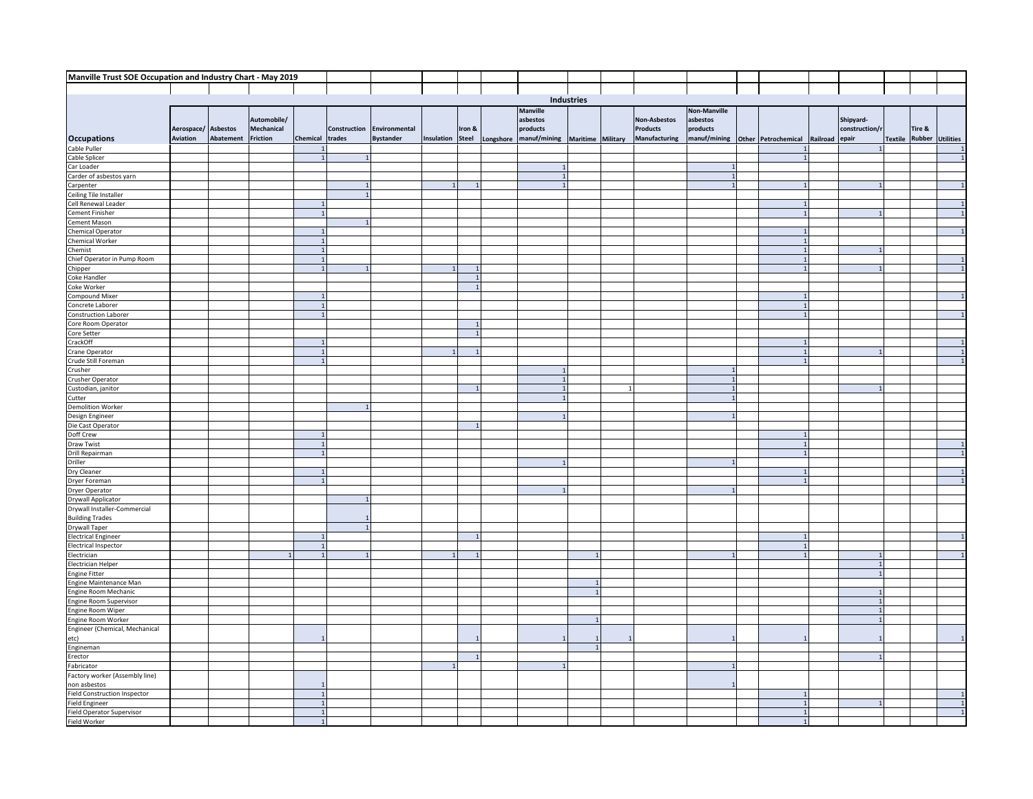| Manville Trust SOE Occupation and Industry Chart - May 2019 |                     |           |                 |                |              |                  |            |                |                        |                   |               |                                  |  |                |                |         |        |                         |
|-------------------------------------------------------------|---------------------|-----------|-----------------|----------------|--------------|------------------|------------|----------------|------------------------|-------------------|---------------|----------------------------------|--|----------------|----------------|---------|--------|-------------------------|
|                                                             |                     |           |                 |                |              |                  |            |                |                        |                   |               |                                  |  |                |                |         |        |                         |
|                                                             |                     |           |                 |                |              |                  |            |                |                        | Industries        |               |                                  |  |                |                |         |        |                         |
|                                                             |                     |           |                 |                |              |                  |            |                | <b>Manville</b>        |                   |               | <b>Non-Manville</b>              |  |                |                |         |        |                         |
|                                                             |                     |           | Automobile/     |                |              |                  |            |                | asbestos               |                   | Non-Asbestos  | asbestos                         |  |                | Shipyard-      |         |        |                         |
|                                                             | Aerospace/ Asbestos |           | Mechanical      |                | Construction | Environmental    |            | Iron &         | products               |                   | Products      | products                         |  |                | construction/r |         | Tire & |                         |
| <b>Occupations</b>                                          | Aviation            | Abatement | <b>Friction</b> | Chemical       | trades       | <b>Bystander</b> | Insulation | Steel          | Longshore manuf/mining | Maritime Military | Manufacturing | manuf/mining Other Petrochemical |  | Railroad epair |                | Textile |        | <b>Rubber Utilities</b> |
| Cable Puller                                                |                     |           |                 |                |              |                  |            |                |                        |                   |               |                                  |  |                |                |         |        | $\overline{1}$          |
| Cable Splicer                                               |                     |           |                 |                | $\mathbf{1}$ |                  |            |                |                        |                   |               |                                  |  |                |                |         |        | $\overline{1}$          |
| Car Loader                                                  |                     |           |                 |                |              |                  |            |                |                        |                   |               |                                  |  |                |                |         |        |                         |
| Carder of asbestos yarn                                     |                     |           |                 |                |              |                  |            |                |                        |                   |               |                                  |  |                |                |         |        |                         |
| Carpenter                                                   |                     |           |                 |                |              |                  |            |                |                        |                   |               |                                  |  |                |                |         |        |                         |
| Ceiling Tile Installer                                      |                     |           |                 |                | $\mathbf{1}$ |                  |            |                |                        |                   |               |                                  |  |                |                |         |        |                         |
| Cell Renewal Leader                                         |                     |           |                 |                |              |                  |            |                |                        |                   |               |                                  |  |                |                |         |        |                         |
| Cement Finisher                                             |                     |           |                 |                |              |                  |            |                |                        |                   |               |                                  |  |                |                |         |        |                         |
| Cement Mason                                                |                     |           |                 |                |              |                  |            |                |                        |                   |               |                                  |  |                |                |         |        |                         |
| <b>Chemical Operator</b>                                    |                     |           |                 |                |              |                  |            |                |                        |                   |               |                                  |  |                |                |         |        |                         |
| Chemical Worker                                             |                     |           |                 |                |              |                  |            |                |                        |                   |               |                                  |  |                |                |         |        |                         |
| Chemist                                                     |                     |           |                 | $1\,$          |              |                  |            |                |                        |                   |               |                                  |  |                |                |         |        |                         |
| Chief Operator in Pump Room                                 |                     |           |                 |                |              |                  |            |                |                        |                   |               |                                  |  |                |                |         |        |                         |
| Chipper                                                     |                     |           |                 |                |              |                  |            | $\overline{1}$ |                        |                   |               |                                  |  |                |                |         |        |                         |
| Coke Handler                                                |                     |           |                 |                |              |                  |            |                |                        |                   |               |                                  |  |                |                |         |        |                         |
| Coke Worker<br>Compound Mixer                               |                     |           |                 |                |              |                  |            |                |                        |                   |               |                                  |  |                |                |         |        |                         |
| Concrete Laborer                                            |                     |           |                 |                |              |                  |            |                |                        |                   |               |                                  |  |                |                |         |        |                         |
| <b>Construction Laborer</b>                                 |                     |           |                 |                |              |                  |            |                |                        |                   |               |                                  |  |                |                |         |        |                         |
| Core Room Operator                                          |                     |           |                 |                |              |                  |            |                |                        |                   |               |                                  |  |                |                |         |        |                         |
| Core Setter                                                 |                     |           |                 |                |              |                  |            |                |                        |                   |               |                                  |  |                |                |         |        |                         |
| CrackOff                                                    |                     |           |                 | $\overline{1}$ |              |                  |            |                |                        |                   |               |                                  |  |                |                |         |        | $\overline{1}$          |
| Crane Operator                                              |                     |           |                 | $\mathbf{1}$   |              |                  |            |                |                        |                   |               |                                  |  |                |                |         |        |                         |
| Crude Still Foreman                                         |                     |           |                 |                |              |                  |            |                |                        |                   |               |                                  |  |                |                |         |        |                         |
| Crusher                                                     |                     |           |                 |                |              |                  |            |                |                        |                   |               |                                  |  |                |                |         |        |                         |
| Crusher Operator                                            |                     |           |                 |                |              |                  |            |                |                        |                   |               |                                  |  |                |                |         |        |                         |
| Custodian, janitor                                          |                     |           |                 |                |              |                  |            |                |                        |                   |               |                                  |  |                |                |         |        |                         |
| Cutter                                                      |                     |           |                 |                |              |                  |            |                |                        |                   |               |                                  |  |                |                |         |        |                         |
| <b>Demolition Worker</b>                                    |                     |           |                 |                |              |                  |            |                |                        |                   |               |                                  |  |                |                |         |        |                         |
| Design Engineer                                             |                     |           |                 |                |              |                  |            |                |                        |                   |               |                                  |  |                |                |         |        |                         |
| Die Cast Operator                                           |                     |           |                 |                |              |                  |            |                |                        |                   |               |                                  |  |                |                |         |        |                         |
| Doff Crew                                                   |                     |           |                 |                |              |                  |            |                |                        |                   |               |                                  |  |                |                |         |        |                         |
| Draw Twist                                                  |                     |           |                 | $\overline{1}$ |              |                  |            |                |                        |                   |               |                                  |  |                |                |         |        |                         |
| Drill Repairman                                             |                     |           |                 |                |              |                  |            |                |                        |                   |               |                                  |  |                |                |         |        |                         |
| Driller                                                     |                     |           |                 |                |              |                  |            |                |                        |                   |               |                                  |  |                |                |         |        |                         |
| Dry Cleaner                                                 |                     |           |                 |                |              |                  |            |                |                        |                   |               |                                  |  |                |                |         |        |                         |
| Dryer Foreman                                               |                     |           |                 |                |              |                  |            |                |                        |                   |               |                                  |  |                |                |         |        |                         |
| Dryer Operator                                              |                     |           |                 |                |              |                  |            |                |                        |                   |               |                                  |  |                |                |         |        |                         |
| Drywall Applicator<br>Drywall Installer-Commercial          |                     |           |                 |                |              |                  |            |                |                        |                   |               |                                  |  |                |                |         |        |                         |
|                                                             |                     |           |                 |                |              |                  |            |                |                        |                   |               |                                  |  |                |                |         |        |                         |
| <b>Building Trades</b><br><b>Drywall Taper</b>              |                     |           |                 |                |              |                  |            |                |                        |                   |               |                                  |  |                |                |         |        |                         |
| Electrical Engineer                                         |                     |           |                 |                |              |                  |            |                |                        |                   |               |                                  |  |                |                |         |        |                         |
| <b>Electrical Inspector</b>                                 |                     |           |                 |                |              |                  |            |                |                        |                   |               |                                  |  |                |                |         |        |                         |
| Electrician                                                 |                     |           |                 |                |              |                  |            |                |                        |                   |               |                                  |  |                |                |         |        |                         |
| Electrician Helper                                          |                     |           |                 |                |              |                  |            |                |                        |                   |               |                                  |  |                |                |         |        |                         |
| Engine Fitter                                               |                     |           |                 |                |              |                  |            |                |                        |                   |               |                                  |  |                |                |         |        |                         |
| Engine Maintenance Man                                      |                     |           |                 |                |              |                  |            |                |                        |                   |               |                                  |  |                |                |         |        |                         |
| Engine Room Mechanic                                        |                     |           |                 |                |              |                  |            |                |                        |                   |               |                                  |  |                |                |         |        |                         |
| Engine Room Supervisor                                      |                     |           |                 |                |              |                  |            |                |                        |                   |               |                                  |  |                |                |         |        |                         |
| Engine Room Wiper                                           |                     |           |                 |                |              |                  |            |                |                        |                   |               |                                  |  |                |                |         |        |                         |
| Engine Room Worker                                          |                     |           |                 |                |              |                  |            |                |                        |                   |               |                                  |  |                |                |         |        |                         |
| Engineer (Chemical, Mechanical                              |                     |           |                 |                |              |                  |            |                |                        |                   |               |                                  |  |                |                |         |        |                         |
| etc)                                                        |                     |           |                 |                |              |                  |            |                |                        |                   |               |                                  |  |                |                |         |        |                         |
| Engineman                                                   |                     |           |                 |                |              |                  |            |                |                        | $\mathbf{1}$      |               |                                  |  |                |                |         |        |                         |
| Erector                                                     |                     |           |                 |                |              |                  |            |                |                        |                   |               |                                  |  |                |                |         |        |                         |
| Fabricator                                                  |                     |           |                 |                |              |                  |            |                |                        |                   |               |                                  |  |                |                |         |        |                         |
| Factory worker (Assembly line)                              |                     |           |                 |                |              |                  |            |                |                        |                   |               |                                  |  |                |                |         |        |                         |
| non asbestos                                                |                     |           |                 |                |              |                  |            |                |                        |                   |               |                                  |  |                |                |         |        |                         |
| <b>Field Construction Inspector</b>                         |                     |           |                 | $\overline{1}$ |              |                  |            |                |                        |                   |               |                                  |  |                |                |         |        |                         |
| <b>Field Engineer</b>                                       |                     |           |                 | $\mathbf{1}$   |              |                  |            |                |                        |                   |               |                                  |  |                |                |         |        |                         |
| Field Operator Supervisor                                   |                     |           |                 | $\mathbf{1}$   |              |                  |            |                |                        |                   |               |                                  |  |                |                |         |        |                         |
| Field Worker                                                |                     |           |                 |                |              |                  |            |                |                        |                   |               |                                  |  |                |                |         |        |                         |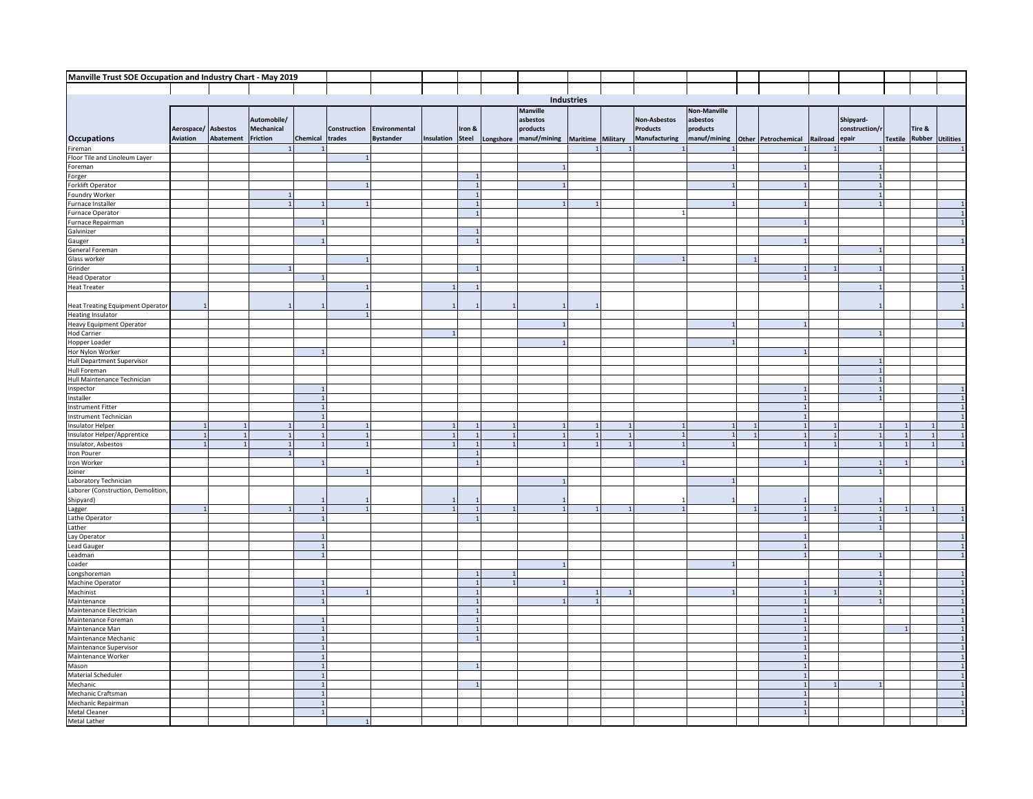|                                                       | Manville Trust SOE Occupation and Industry Chart - May 2019 |           |                 |          |                |                  |            |              |           |                 |                   |                      |                     |                     |          |                |        |                          |
|-------------------------------------------------------|-------------------------------------------------------------|-----------|-----------------|----------|----------------|------------------|------------|--------------|-----------|-----------------|-------------------|----------------------|---------------------|---------------------|----------|----------------|--------|--------------------------|
|                                                       |                                                             |           |                 |          |                |                  |            |              |           |                 |                   |                      |                     |                     |          |                |        |                          |
|                                                       |                                                             |           |                 |          |                |                  |            |              |           |                 | Industries        |                      |                     |                     |          |                |        |                          |
|                                                       |                                                             |           |                 |          |                |                  |            |              |           | <b>Manville</b> |                   |                      | <b>Non-Manville</b> |                     |          |                |        |                          |
|                                                       |                                                             |           | Automobile/     |          |                |                  |            |              |           | asbestos        |                   | Non-Asbestos         | asbestos            |                     |          | Shipyard-      |        |                          |
|                                                       | Aerospace/ Asbestos                                         |           | Mechanical      |          | Construction   | Environmental    |            | Iron &       |           | products        |                   | Products             | products            |                     |          | construction/r | Tire & |                          |
| <b>Occupations</b>                                    | Aviation                                                    | Abatement | <b>Friction</b> | Chemical | trades         | <b>Bystander</b> | Insulation | Steel        | Longshore | manuf/mining    | Maritime Military | <b>Manufacturing</b> | manuf/mining        | Other Petrochemical | Railroad | epair          |        | Textile Rubber Utilities |
| Fireman                                               |                                                             |           |                 |          |                |                  |            |              |           |                 |                   |                      |                     |                     |          |                |        | $\overline{1}$           |
| Floor Tile and Linoleum Layer                         |                                                             |           |                 |          | $\overline{1}$ |                  |            |              |           |                 |                   |                      |                     |                     |          |                |        |                          |
| Foreman                                               |                                                             |           |                 |          |                |                  |            |              |           |                 |                   |                      |                     |                     |          |                |        |                          |
| Forger<br>Forklift Operator                           |                                                             |           |                 |          |                |                  |            |              |           |                 |                   |                      |                     |                     |          |                |        |                          |
|                                                       |                                                             |           |                 |          |                |                  |            |              |           |                 |                   |                      |                     |                     |          |                |        |                          |
| Foundry Worker                                        |                                                             |           |                 |          |                |                  |            | $\mathbf{1}$ |           |                 |                   |                      |                     |                     |          |                |        |                          |
| Furnace Installer                                     |                                                             |           |                 |          |                |                  |            |              |           |                 |                   |                      |                     |                     |          |                |        |                          |
| Furnace Operator<br>Furnace Repairman                 |                                                             |           |                 |          |                |                  |            |              |           |                 |                   |                      |                     |                     |          |                |        |                          |
| Galvinizer                                            |                                                             |           |                 |          |                |                  |            |              |           |                 |                   |                      |                     |                     |          |                |        |                          |
|                                                       |                                                             |           |                 |          |                |                  |            |              |           |                 |                   |                      |                     |                     |          |                |        |                          |
| Gauger<br>General Foreman                             |                                                             |           |                 |          |                |                  |            |              |           |                 |                   |                      |                     |                     |          |                |        |                          |
| Glass worker                                          |                                                             |           |                 |          |                |                  |            |              |           |                 |                   |                      |                     |                     |          |                |        |                          |
| Grinder                                               |                                                             |           |                 |          |                |                  |            |              |           |                 |                   |                      |                     |                     |          |                |        |                          |
| <b>Head Operator</b>                                  |                                                             |           |                 |          |                |                  |            |              |           |                 |                   |                      |                     |                     |          |                |        |                          |
| <b>Heat Treater</b>                                   |                                                             |           |                 |          |                |                  |            |              |           |                 |                   |                      |                     |                     |          |                |        |                          |
|                                                       |                                                             |           |                 |          |                |                  |            |              |           |                 |                   |                      |                     |                     |          |                |        |                          |
| <b>Heat Treating Equipment Operator</b>               |                                                             |           |                 |          |                |                  |            |              |           |                 |                   |                      |                     |                     |          |                |        |                          |
| Heating Insulator                                     |                                                             |           |                 |          | $\overline{1}$ |                  |            |              |           |                 |                   |                      |                     |                     |          |                |        |                          |
| <b>Heavy Equipment Operator</b><br><b>Hod Carrier</b> |                                                             |           |                 |          |                |                  |            |              |           |                 |                   |                      |                     |                     |          |                |        |                          |
| Hopper Loader                                         |                                                             |           |                 |          |                |                  |            |              |           |                 |                   |                      |                     |                     |          |                |        |                          |
| Hor Nylon Worker                                      |                                                             |           |                 |          |                |                  |            |              |           |                 |                   |                      |                     |                     |          |                |        |                          |
| <b>Hull Department Supervisor</b>                     |                                                             |           |                 |          |                |                  |            |              |           |                 |                   |                      |                     |                     |          |                |        |                          |
| <b>Hull Foreman</b>                                   |                                                             |           |                 |          |                |                  |            |              |           |                 |                   |                      |                     |                     |          |                |        |                          |
| Hull Maintenance Technician                           |                                                             |           |                 |          |                |                  |            |              |           |                 |                   |                      |                     |                     |          |                |        |                          |
| Inspector                                             |                                                             |           |                 |          |                |                  |            |              |           |                 |                   |                      |                     |                     |          |                |        | $\mathbf{1}$             |
| Installer                                             |                                                             |           |                 |          |                |                  |            |              |           |                 |                   |                      |                     |                     |          |                |        | $\overline{1}$           |
| <b>Instrument Fitter</b>                              |                                                             |           |                 |          |                |                  |            |              |           |                 |                   |                      |                     |                     |          |                |        | $\overline{1}$           |
| Instrument Technician                                 |                                                             |           |                 |          |                |                  |            |              |           |                 |                   |                      |                     |                     |          |                |        | $\overline{1}$           |
| Insulator Helper                                      | $\mathbf{1}$                                                |           |                 |          | $\mathbf{1}$   |                  |            |              |           |                 |                   |                      |                     |                     |          |                |        |                          |
| Insulator Helper/Apprentice<br>Insulator, Asbestos    |                                                             |           |                 |          | $\mathbf{1}$   |                  |            |              |           |                 |                   |                      |                     |                     |          |                |        |                          |
| <b>Iron Pourer</b>                                    |                                                             |           |                 |          |                |                  |            |              |           |                 |                   |                      |                     |                     |          |                |        |                          |
| Iron Worker                                           |                                                             |           |                 |          |                |                  |            |              |           |                 |                   |                      |                     |                     |          |                |        |                          |
| Joiner                                                |                                                             |           |                 |          | $\mathbf{1}$   |                  |            |              |           |                 |                   |                      |                     |                     |          |                |        |                          |
| Laboratory Technician                                 |                                                             |           |                 |          |                |                  |            |              |           |                 |                   |                      |                     |                     |          |                |        |                          |
| Laborer (Construction, Demolition,                    |                                                             |           |                 |          |                |                  |            |              |           |                 |                   |                      |                     |                     |          |                |        |                          |
| Shipyard)                                             |                                                             |           |                 |          |                |                  |            |              |           |                 |                   |                      |                     |                     |          |                |        |                          |
| Lagger                                                |                                                             |           |                 |          |                |                  |            |              |           |                 |                   |                      |                     |                     |          |                |        |                          |
| Lathe Operator                                        |                                                             |           |                 |          |                |                  |            |              |           |                 |                   |                      |                     |                     |          |                |        |                          |
| Lather                                                |                                                             |           |                 |          |                |                  |            |              |           |                 |                   |                      |                     |                     |          |                |        |                          |
| Lay Operator<br>Lead Gauger                           |                                                             |           |                 |          |                |                  |            |              |           |                 |                   |                      |                     |                     |          |                |        |                          |
| Leadman                                               |                                                             |           |                 |          |                |                  |            |              |           |                 |                   |                      |                     |                     |          |                |        |                          |
| Loader                                                |                                                             |           |                 |          |                |                  |            |              |           |                 |                   |                      |                     |                     |          |                |        |                          |
| Longshoreman                                          |                                                             |           |                 |          |                |                  |            |              |           |                 |                   |                      |                     |                     |          |                |        | $\overline{1}$           |
| Machine Operator                                      |                                                             |           |                 |          |                |                  |            |              |           |                 |                   |                      |                     |                     |          |                |        | $\overline{1}$           |
| Machinist<br>Maintenance                              |                                                             |           |                 |          |                |                  |            |              |           |                 |                   |                      |                     |                     |          |                |        |                          |
|                                                       |                                                             |           |                 |          |                |                  |            |              |           |                 |                   |                      |                     |                     |          |                |        |                          |
| Maintenance Electrician<br>Maintenance Foreman        |                                                             |           |                 |          |                |                  |            |              |           |                 |                   |                      |                     |                     |          |                |        |                          |
|                                                       |                                                             |           |                 |          |                |                  |            |              |           |                 |                   |                      |                     |                     |          |                |        |                          |
| Maintenance Man<br>Maintenance Mechanic               |                                                             |           |                 |          |                |                  |            |              |           |                 |                   |                      |                     |                     |          |                |        |                          |
| Maintenance Supervisor                                |                                                             |           |                 |          |                |                  |            |              |           |                 |                   |                      |                     |                     |          |                |        | $\mathbf{1}$             |
|                                                       |                                                             |           |                 |          |                |                  |            |              |           |                 |                   |                      |                     |                     |          |                |        | $\overline{1}$           |
| Maintenance Worker<br>Mason                           |                                                             |           |                 |          |                |                  |            |              |           |                 |                   |                      |                     |                     |          |                |        | $\overline{1}$           |
| Material Scheduler                                    |                                                             |           |                 |          |                |                  |            |              |           |                 |                   |                      |                     |                     |          |                |        |                          |
| Mechanic                                              |                                                             |           |                 |          |                |                  |            |              |           |                 |                   |                      |                     |                     |          |                |        |                          |
| Mechanic Craftsman                                    |                                                             |           |                 |          |                |                  |            |              |           |                 |                   |                      |                     |                     |          |                |        |                          |
| Mechanic Repairman<br>Metal Cleaner<br>Metal Lather   |                                                             |           |                 |          |                |                  |            |              |           |                 |                   |                      |                     |                     |          |                |        |                          |
|                                                       |                                                             |           |                 |          |                |                  |            |              |           |                 |                   |                      |                     |                     |          |                |        |                          |
|                                                       |                                                             |           |                 |          |                |                  |            |              |           |                 |                   |                      |                     |                     |          |                |        |                          |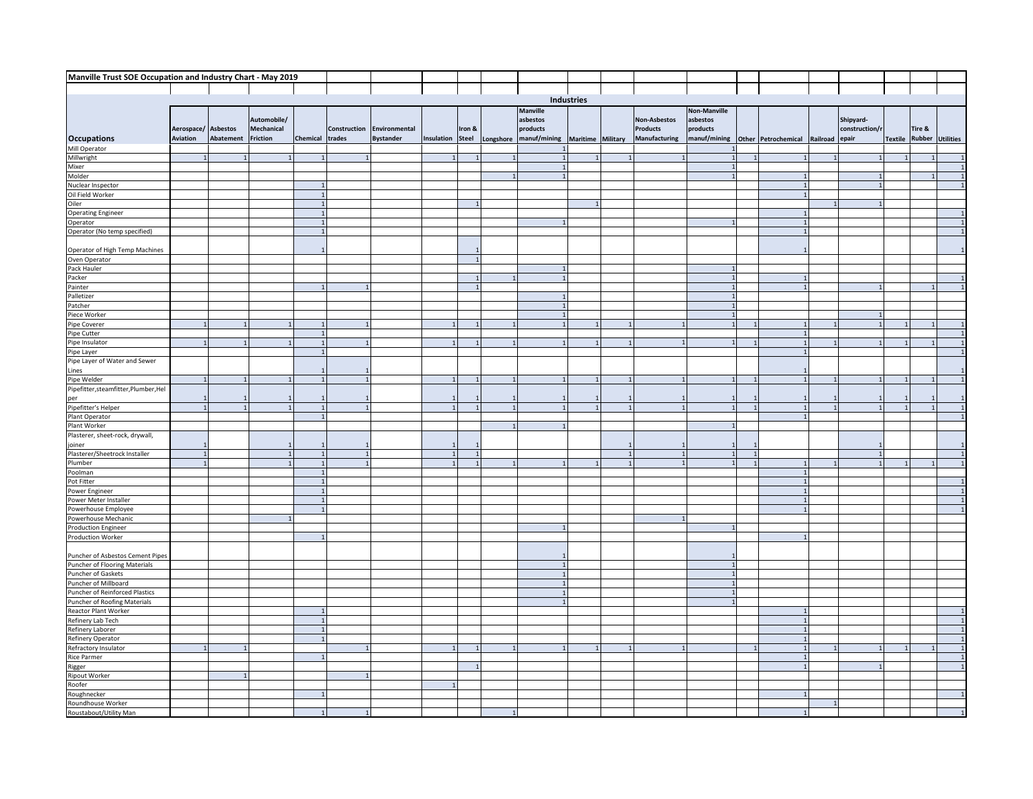| Manville Trust SOE Occupation and Industry Chart - May 2019                     |                     |                    |                   |                |                |                  |            |              |                        |                   |  |                 |                     |  |                     |          |               |        |                                 |
|---------------------------------------------------------------------------------|---------------------|--------------------|-------------------|----------------|----------------|------------------|------------|--------------|------------------------|-------------------|--|-----------------|---------------------|--|---------------------|----------|---------------|--------|---------------------------------|
|                                                                                 |                     |                    |                   |                |                |                  |            |              |                        |                   |  |                 |                     |  |                     |          |               |        |                                 |
|                                                                                 |                     |                    |                   |                |                |                  |            | Industries   |                        |                   |  |                 |                     |  |                     |          |               |        |                                 |
|                                                                                 |                     |                    |                   |                |                |                  |            |              | <b>Manville</b>        |                   |  |                 | <b>Non-Manville</b> |  |                     |          |               |        |                                 |
|                                                                                 |                     |                    | Automobile/       |                |                |                  |            |              | asbestos               |                   |  | Non-Asbestos    | asbestos            |  |                     |          | Shipyard-     |        |                                 |
|                                                                                 | Aerospace/ Asbestos |                    | <b>Mechanical</b> |                | Construction   | Environmental    |            | Iron &       | products               |                   |  | <b>Products</b> | products            |  |                     |          | construction/ | Tire & |                                 |
| <b>Occupations</b>                                                              | Aviation            | Abatement Friction |                   | Chemical       | trades         | <b>Bystander</b> | Insulation | <b>Steel</b> | Longshore manuf/mining | Maritime Military |  | Manufacturing   | manuf/mining        |  | Other Petrochemical | Railroad | epair         |        | <b>Textile Rubber Utilities</b> |
| Mill Operator                                                                   |                     |                    |                   |                |                |                  |            |              |                        |                   |  |                 |                     |  |                     |          |               |        |                                 |
| Millwright                                                                      |                     |                    |                   |                |                |                  |            |              |                        |                   |  |                 |                     |  |                     |          |               |        |                                 |
| Mixer                                                                           |                     |                    |                   |                |                |                  |            |              |                        |                   |  |                 |                     |  |                     |          |               |        |                                 |
| Molder                                                                          |                     |                    |                   |                |                |                  |            |              |                        |                   |  |                 |                     |  |                     |          |               |        |                                 |
| Nuclear Inspector                                                               |                     |                    |                   |                |                |                  |            |              |                        |                   |  |                 |                     |  |                     |          |               |        |                                 |
| Oil Field Worker                                                                |                     |                    |                   | $\overline{1}$ |                |                  |            |              |                        |                   |  |                 |                     |  |                     |          |               |        |                                 |
|                                                                                 |                     |                    |                   |                |                |                  |            |              |                        |                   |  |                 |                     |  |                     |          |               |        |                                 |
|                                                                                 |                     |                    |                   |                |                |                  |            |              |                        |                   |  |                 |                     |  |                     |          |               |        |                                 |
|                                                                                 |                     |                    |                   |                |                |                  |            |              |                        |                   |  |                 |                     |  |                     |          |               |        |                                 |
| Oil Pield Worker<br>Oiler<br>Operating Engineer<br>Operator (No temp specified) |                     |                    |                   |                |                |                  |            |              |                        |                   |  |                 |                     |  |                     |          |               |        |                                 |
|                                                                                 |                     |                    |                   |                |                |                  |            |              |                        |                   |  |                 |                     |  |                     |          |               |        |                                 |
| Operator of High Temp Machines<br>Oven Operator                                 |                     |                    |                   |                |                |                  |            |              |                        |                   |  |                 |                     |  |                     |          |               |        |                                 |
| Pack Hauler                                                                     |                     |                    |                   |                |                |                  |            |              |                        |                   |  |                 |                     |  |                     |          |               |        |                                 |
| Packer                                                                          |                     |                    |                   |                |                |                  |            |              |                        |                   |  |                 |                     |  |                     |          |               |        |                                 |
| Painter                                                                         |                     |                    |                   |                |                |                  |            |              |                        |                   |  |                 |                     |  |                     |          |               |        |                                 |
| Palletizer                                                                      |                     |                    |                   |                |                |                  |            |              |                        |                   |  |                 |                     |  |                     |          |               |        |                                 |
| Patcher                                                                         |                     |                    |                   |                |                |                  |            |              |                        |                   |  |                 |                     |  |                     |          |               |        |                                 |
| Piece Worker                                                                    |                     |                    |                   |                |                |                  |            |              |                        |                   |  |                 |                     |  |                     |          |               |        |                                 |
| Pipe Coverer                                                                    |                     |                    |                   |                |                |                  |            |              |                        |                   |  |                 |                     |  |                     |          |               |        |                                 |
| Pipe Cutter                                                                     |                     |                    |                   |                |                |                  |            |              |                        |                   |  |                 |                     |  |                     |          |               |        |                                 |
| Pipe Insulator                                                                  |                     |                    |                   |                |                |                  |            |              |                        |                   |  |                 |                     |  |                     |          |               |        |                                 |
| Pipe Layer<br>Pipe Layer of Water and Sewer                                     |                     |                    |                   |                |                |                  |            |              |                        |                   |  |                 |                     |  |                     |          |               |        |                                 |
|                                                                                 |                     |                    |                   |                |                |                  |            |              |                        |                   |  |                 |                     |  |                     |          |               |        |                                 |
| Lines                                                                           |                     |                    |                   |                |                |                  |            |              |                        |                   |  |                 |                     |  |                     |          |               |        |                                 |
| Pipe Welder                                                                     |                     |                    |                   |                |                |                  |            |              |                        |                   |  |                 |                     |  |                     |          |               |        |                                 |
| Pipefitter, steamfitter, Plumber, Hel                                           |                     |                    |                   |                |                |                  |            |              |                        |                   |  |                 |                     |  |                     |          |               |        |                                 |
| per<br>Pipefitter's Helper                                                      |                     |                    |                   |                |                |                  |            |              |                        |                   |  |                 |                     |  |                     |          |               |        |                                 |
|                                                                                 |                     |                    |                   |                |                |                  |            |              |                        |                   |  |                 |                     |  |                     |          |               |        |                                 |
| Plant Operator<br>Plant Worker                                                  |                     |                    |                   |                |                |                  |            |              |                        |                   |  |                 |                     |  |                     |          |               |        |                                 |
|                                                                                 |                     |                    |                   |                |                |                  |            |              |                        |                   |  |                 |                     |  |                     |          |               |        |                                 |
| Plasterer, sheet-rock, drywall,                                                 |                     |                    |                   |                |                |                  |            |              |                        |                   |  |                 |                     |  |                     |          |               |        |                                 |
| joiner<br>Plasterer/Sheetrock Installer                                         |                     |                    |                   |                | $\overline{1}$ |                  |            |              |                        |                   |  | $\overline{1}$  |                     |  |                     |          |               |        |                                 |
| Plumber                                                                         |                     |                    |                   |                |                |                  |            |              |                        |                   |  | $\overline{1}$  |                     |  |                     |          |               |        |                                 |
| Poolman                                                                         |                     |                    |                   |                |                |                  |            |              |                        |                   |  |                 |                     |  |                     |          |               |        |                                 |
| Pot Fitter                                                                      |                     |                    |                   |                |                |                  |            |              |                        |                   |  |                 |                     |  |                     |          |               |        |                                 |
| Power Engineer                                                                  |                     |                    |                   |                |                |                  |            |              |                        |                   |  |                 |                     |  |                     |          |               |        |                                 |
| Power Meter Installer                                                           |                     |                    |                   |                |                |                  |            |              |                        |                   |  |                 |                     |  |                     |          |               |        |                                 |
| Powerhouse Employee                                                             |                     |                    |                   |                |                |                  |            |              |                        |                   |  |                 |                     |  |                     |          |               |        |                                 |
| Powerhouse Mechanic                                                             |                     |                    |                   |                |                |                  |            |              |                        |                   |  |                 |                     |  |                     |          |               |        |                                 |
| <b>Production Engineer</b>                                                      |                     |                    |                   |                |                |                  |            |              |                        |                   |  |                 |                     |  |                     |          |               |        |                                 |
| Production Worker                                                               |                     |                    |                   |                |                |                  |            |              |                        |                   |  |                 |                     |  |                     |          |               |        |                                 |
| Puncher of Asbestos Cement Pipes                                                |                     |                    |                   |                |                |                  |            |              |                        |                   |  |                 |                     |  |                     |          |               |        |                                 |
| Puncher of Flooring Materials                                                   |                     |                    |                   |                |                |                  |            |              |                        |                   |  |                 |                     |  |                     |          |               |        |                                 |
| Puncher of Gaskets                                                              |                     |                    |                   |                |                |                  |            |              |                        |                   |  |                 |                     |  |                     |          |               |        |                                 |
| Puncher of Millboard                                                            |                     |                    |                   |                |                |                  |            |              |                        |                   |  |                 |                     |  |                     |          |               |        |                                 |
| Puncher of Reinforced Plastics                                                  |                     |                    |                   |                |                |                  |            |              |                        |                   |  |                 |                     |  |                     |          |               |        |                                 |
| Puncher of Roofing Materials                                                    |                     |                    |                   |                |                |                  |            |              |                        |                   |  |                 |                     |  |                     |          |               |        |                                 |
| Reactor Plant Worker                                                            |                     |                    |                   |                |                |                  |            |              |                        |                   |  |                 |                     |  |                     |          |               |        |                                 |
| Refinery Lab Tech                                                               |                     |                    |                   |                |                |                  |            |              |                        |                   |  |                 |                     |  |                     |          |               |        |                                 |
| Refinery Laborer<br>Refinery Operator                                           |                     |                    |                   |                |                |                  |            |              |                        |                   |  |                 |                     |  |                     |          |               |        |                                 |
|                                                                                 |                     |                    |                   |                |                |                  |            |              |                        |                   |  |                 |                     |  |                     |          |               |        |                                 |
| Refractory Insulator                                                            |                     |                    |                   |                |                |                  |            |              |                        |                   |  |                 |                     |  |                     |          |               |        |                                 |
| <b>Rice Parmer</b>                                                              |                     |                    |                   |                |                |                  |            |              |                        |                   |  |                 |                     |  |                     |          |               |        |                                 |
| Rigger                                                                          |                     |                    |                   |                |                |                  |            |              |                        |                   |  |                 |                     |  |                     |          |               |        |                                 |
| <b>Ripout Worker</b><br>Roofer                                                  |                     |                    |                   |                |                |                  |            |              |                        |                   |  |                 |                     |  |                     |          |               |        |                                 |
|                                                                                 |                     |                    |                   |                |                |                  |            |              |                        |                   |  |                 |                     |  |                     |          |               |        |                                 |
|                                                                                 |                     |                    |                   |                |                |                  |            |              |                        |                   |  |                 |                     |  |                     |          |               |        |                                 |
| Roughnecker<br>Roundhouse Worker<br>Roustabout/Utility Man                      |                     |                    |                   |                |                |                  |            |              |                        |                   |  |                 |                     |  |                     |          |               |        |                                 |